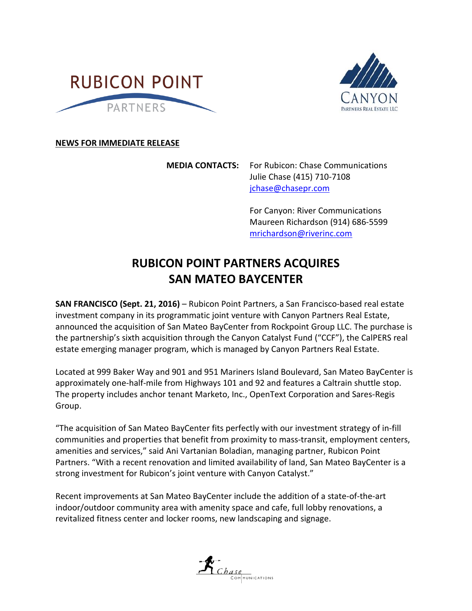



## **NEWS FOR IMMEDIATE RELEASE**

**MEDIA CONTACTS:** For Rubicon: Chase Communications Julie Chase (415) 710-7108 [jchase@chasepr.com](mailto:jchase@chasepr.com)

> For Canyon: River Communications Maureen Richardson (914) 686-5599 mrichardson@riverinc.com

## **RUBICON POINT PARTNERS ACQUIRES SAN MATEO BAYCENTER**

**SAN FRANCISCO (Sept. 21, 2016)** – Rubicon Point Partners, a San Francisco-based real estate investment company in its programmatic joint venture with Canyon Partners Real Estate, announced the acquisition of San Mateo BayCenter from Rockpoint Group LLC. The purchase is the partnership's sixth acquisition through the Canyon Catalyst Fund ("CCF"), the CalPERS real estate emerging manager program, which is managed by Canyon Partners Real Estate.

Located at 999 Baker Way and 901 and 951 Mariners Island Boulevard, San Mateo BayCenter is approximately one-half-mile from Highways 101 and 92 and features a Caltrain shuttle stop. The property includes anchor tenant Marketo, Inc., OpenText Corporation and Sares-Regis Group.

"The acquisition of San Mateo BayCenter fits perfectly with our investment strategy of in-fill communities and properties that benefit from proximity to mass-transit, employment centers, amenities and services," said Ani Vartanian Boladian, managing partner, Rubicon Point Partners. "With a recent renovation and limited availability of land, San Mateo BayCenter is a strong investment for Rubicon's joint venture with Canyon Catalyst."

Recent improvements at San Mateo BayCenter include the addition of a state-of-the-art indoor/outdoor community area with amenity space and cafe, full lobby renovations, a revitalized fitness center and locker rooms, new landscaping and signage.